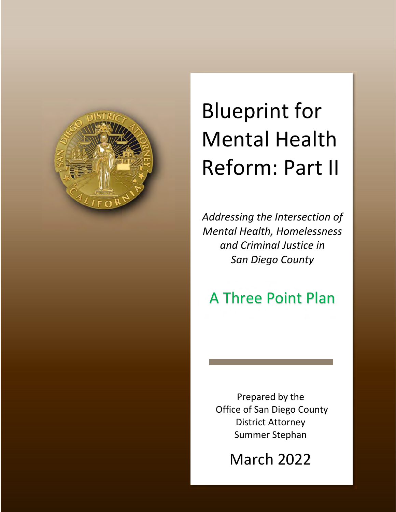

# Reform: Part Blueprint for Mental Health Reform: Part II

Addressing the *Intersection* of *Addressing the Intersection of and Criminal Justice in Mental Health, Homelessness San Diego County Mental Health, Homelessness*

## *San Diego County* A Three Point Plan

Prepared by the Office of San Diego County District Attorney Summer Stephan

March 2022

*Updated: August‐2019*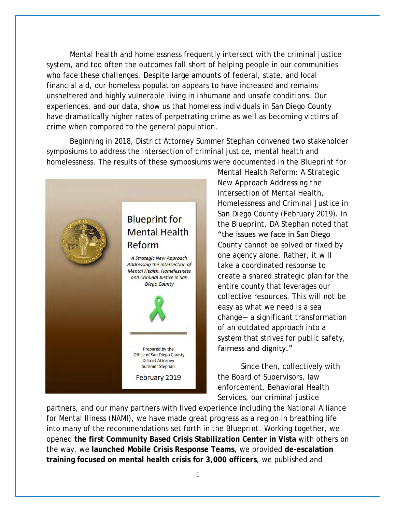Mental health and homelessness frequently intersect with the criminal justice system, and too often the outcomes fall short of helping people in our communities who face these challenges. Despite large amounts of federal, state, and local financial aid, our homeless population appears to have increased and remains unsheltered and highly vulnerable living in inhumane and unsafe conditions. Our experiences, and our data, show us that homeless individuals in San Diego County have dramatically higher rates of perpetrating crime as well as becoming victims of crime when compared to the general population.

Beginning in 2018, District Attorney Summer Stephan convened two stakeholder symposiums to address the intersection of criminal justice, mental health and homelessness. The results of these symposiums were documented in the *Blueprint for* 



*Mental Health Reform: A Strategic New Approach Addressing the Intersection of Mental Health, Homelessness and Criminal Justice in San Diego County* (February 2019). In the *Blueprint*, DA Stephan noted that "the issues we face in San Diego County cannot be solved or fixed by one agency alone. Rather, it will take a coordinated response to create a shared strategic plan for the entire county that leverages our collective resources. This will not be easy as what we need is a sea change— a significant transformation of an outdated approach into a system that strives for public safety, fairness and dignity."

Since then, collectively with the Board of Supervisors, law enforcement, Behavioral Health Services, our criminal justice

partners, and our many partners with lived experience including the National Alliance for Mental Illness (NAMI), we have made great progress as a region in breathing life into many of the recommendations set forth in the *Blueprint.* Working together, we opened **the first Community Based Crisis Stabilization Center in Vista** with others on the way, we **launched Mobile Crisis Response Teams**, we provided **de-escalation training focused on mental health crisis for 3,000 officers**, we published and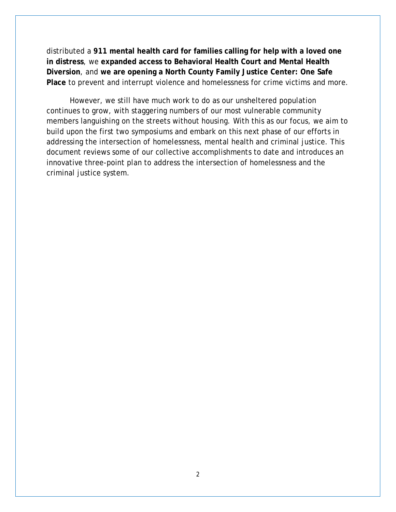distributed a **911 mental health card for families calling for help with a loved one in distress**, we **expanded access to Behavioral Health Court and Mental Health Diversion**, and **we are opening a North County Family Justice Center: One Safe Place** to prevent and interrupt violence and homelessness for crime victims and more.

However, we still have much work to do as our unsheltered population continues to grow, with staggering numbers of our most vulnerable community members languishing on the streets without housing. With this as our focus, we aim to build upon the first two symposiums and embark on this next phase of our efforts in addressing the intersection of homelessness, mental health and criminal justice. This document reviews some of our collective accomplishments to date and introduces an innovative three-point plan to address the intersection of homelessness and the criminal justice system.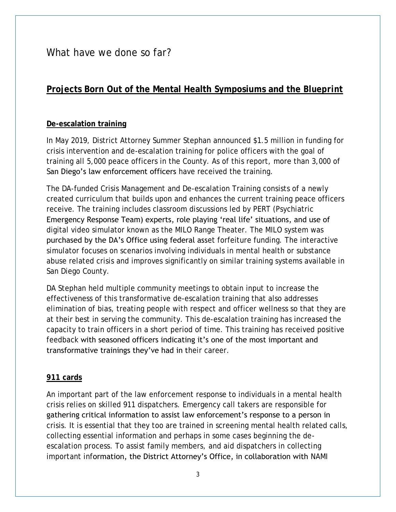What have we done so far?

### **Projects Born Out of the Mental Health Symposiums and the** *Blueprint*

#### **De-escalation training**

In May 2019, District Attorney Summer Stephan announced \$1.5 million in funding for crisis intervention and de-escalation training for police officers with the goal of training all 5,000 peace officers in the County. As of this report, more than 3,000 of San Diego's law enforcement officers have received the training.

The DA-funded Crisis Management and De-escalation Training consists of a newly created curriculum that builds upon and enhances the current training peace officers receive. The training includes classroom discussions led by PERT (Psychiatric Emergency Response Team) experts, role playing 'real life' situations, and use of digital video simulator known as the MILO Range Theater. The MILO system was purchased by the DA's Office using federal asset forfeiture funding. The interactive simulator focuses on scenarios involving individuals in mental health or substance abuse related crisis and improves significantly on similar training systems available in San Diego County.

DA Stephan held multiple community meetings to obtain input to increase the effectiveness of this transformative de-escalation training that also addresses elimination of bias, treating people with respect and officer wellness so that they are at their best in serving the community. This de-escalation training has increased the capacity to train officers in a short period of time. This training has received positive feedback with seasoned officers indicating it's one of the most important and transformative trainings they've had in their career.

#### **911 cards**

An important part of the law enforcement response to individuals in a mental health crisis relies on skilled 911 dispatchers. Emergency call takers are responsible for gathering critical information to assist law enforcement's response to a person in crisis. It is essential that they too are trained in screening mental health related calls, collecting essential information and perhaps in some cases beginning the deescalation process. To assist family members, and aid dispatchers in collecting important information, the District Attorney's Office, in collaboration with NAMI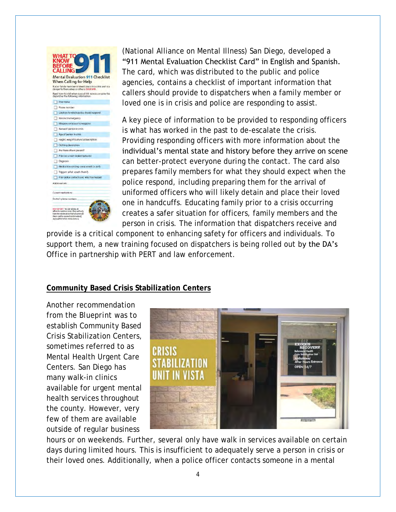

(National Alliance on Mental Illness) San Diego, developed a "911 Mental Evaluation Checklist Card" in English and Spanish. The card, which was distributed to the public and police agencies, contains a checklist of important information that callers should provide to dispatchers when a family member or loved one is in crisis and police are responding to assist.

A key piece of information to be provided to responding officers is what has worked in the past to de-escalate the crisis. Providing responding officers with more information about the individual's mental state and history before they arrive on scene can better-protect everyone during the contact. The card also prepares family members for what they should expect when the police respond, including preparing them for the arrival of uniformed officers who will likely detain and place their loved one in handcuffs. Educating family prior to a crisis occurring creates a safer situation for officers, family members and the person in crisis. The information that dispatchers receive and

provide is a critical component to enhancing safety for officers and individuals. To support them, a new training focused on dispatchers is being rolled out by the DA's Office in partnership with PERT and law enforcement.

#### **Community Based Crisis Stabilization Centers**

Another recommendation from the *Blueprint* was to establish Community Based Crisis Stabilization Centers, sometimes referred to as Mental Health Urgent Care Centers. San Diego has many walk-in clinics available for urgent mental health services throughout the county. However, very few of them are available outside of regular business



hours or on weekends. Further, several only have walk in services available on certain days during limited hours. This is insufficient to adequately serve a person in crisis or their loved ones. Additionally, when a police officer contacts someone in a mental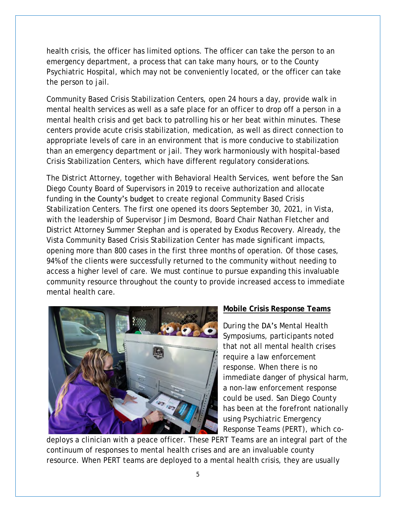health crisis, the officer has limited options. The officer can take the person to an emergency department, a process that can take many hours, or to the County Psychiatric Hospital, which may not be conveniently located, or the officer can take the person to jail.

Community Based Crisis Stabilization Centers, open 24 hours a day, provide walk in mental health services as well as a safe place for an officer to drop off a person in a mental health crisis and get back to patrolling his or her beat within minutes. These centers provide acute crisis stabilization, medication, as well as direct connection to appropriate levels of care in an environment that is more conducive to stabilization than an emergency department or jail. They work harmoniously with hospital-based Crisis Stabilization Centers, which have different regulatory considerations.

The District Attorney, together with Behavioral Health Services, went before the San Diego County Board of Supervisors in 2019 to receive authorization and allocate funding in the County's budget to create regional Community Based Crisis Stabilization Centers. The first one opened its doors September 30, 2021, in Vista, with the leadership of Supervisor Jim Desmond, Board Chair Nathan Fletcher and District Attorney Summer Stephan and is operated by Exodus Recovery. Already, the Vista Community Based Crisis Stabilization Center has made significant impacts, opening more than 800 cases in the first three months of operation. Of those cases, 94% of the clients were successfully returned to the community without needing to access a higher level of care. We must continue to pursue expanding this invaluable community resource throughout the county to provide increased access to immediate mental health care.



#### **Mobile Crisis Response Teams**

During the DA's Mental Health Symposiums, participants noted that not all mental health crises require a law enforcement response. When there is no immediate danger of physical harm, a non-law enforcement response could be used. San Diego County has been at the forefront nationally using Psychiatric Emergency Response Teams (PERT), which co-

deploys a clinician with a peace officer. These PERT Teams are an integral part of the continuum of responses to mental health crises and are an invaluable county resource. When PERT teams are deployed to a mental health crisis, they are usually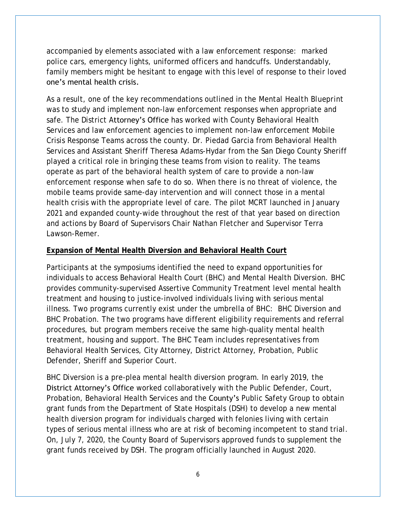accompanied by elements associated with a law enforcement response: marked police cars, emergency lights, uniformed officers and handcuffs. Understandably, family members might be hesitant to engage with this level of response to their loved one's mental health crisis.

As a result, one of the key recommendations outlined in the *Mental Health Blueprint* was to study and implement non-law enforcement responses when appropriate and safe. The District Attorney's Office has worked with County Behavioral Health Services and law enforcement agencies to implement non-law enforcement Mobile Crisis Response Teams across the county. Dr. Piedad Garcia from Behavioral Health Services and Assistant Sheriff Theresa Adams-Hydar from the San Diego County Sheriff played a critical role in bringing these teams from vision to reality. The teams operate as part of the behavioral health system of care to provide a non-law enforcement response when safe to do so. When there is no threat of violence, the mobile teams provide same-day intervention and will connect those in a mental health crisis with the appropriate level of care. The pilot MCRT launched in January 2021 and expanded county-wide throughout the rest of that year based on direction and actions by Board of Supervisors Chair Nathan Fletcher and Supervisor Terra Lawson-Remer.

#### **Expansion of Mental Health Diversion and Behavioral Health Court**

Participants at the symposiums identified the need to expand opportunities for individuals to access Behavioral Health Court (BHC) and Mental Health Diversion. BHC provides community-supervised Assertive Community Treatment level mental health treatment and housing to justice-involved individuals living with serious mental illness. Two programs currently exist under the umbrella of BHC: BHC Diversion and BHC Probation. The two programs have different eligibility requirements and referral procedures, but program members receive the same high-quality mental health treatment, housing and support. The BHC Team includes representatives from Behavioral Health Services, City Attorney, District Attorney, Probation, Public Defender, Sheriff and Superior Court.

BHC Diversion is a pre-plea mental health diversion program. In early 2019, the District Attorney's Office worked collaboratively with the Public Defender, Court, Probation, Behavioral Health Services and the **County's** Public Safety Group to obtain grant funds from the Department of State Hospitals (DSH) to develop a new mental health diversion program for individuals charged with felonies living with certain types of serious mental illness who are at risk of becoming incompetent to stand trial. On, July 7, 2020, the County Board of Supervisors approved funds to supplement the grant funds received by DSH. The program officially launched in August 2020.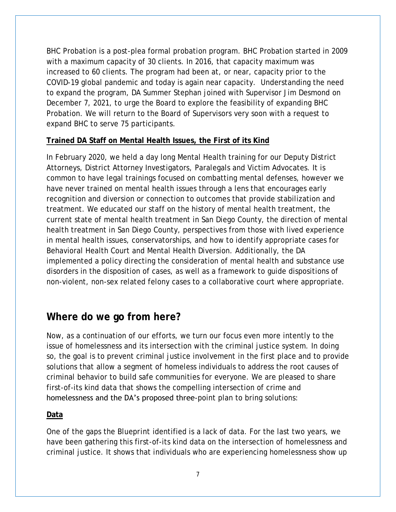BHC Probation is a post-plea formal probation program. BHC Probation started in 2009 with a maximum capacity of 30 clients. In 2016, that capacity maximum was increased to 60 clients. The program had been at, or near, capacity prior to the COVID-19 global pandemic and today is again near capacity. Understanding the need to expand the program, DA Summer Stephan joined with Supervisor Jim Desmond on December 7, 2021, to urge the Board to explore the feasibility of expanding BHC Probation. We will return to the Board of Supervisors very soon with a request to expand BHC to serve 75 participants.

#### **Trained DA Staff on Mental Health Issues, the First of its Kind**

In February 2020, we held a day long Mental Health training for our Deputy District Attorneys, District Attorney Investigators, Paralegals and Victim Advocates. It is common to have legal trainings focused on combatting mental defenses, however we have never trained on mental health issues through a lens that encourages early recognition and diversion or connection to outcomes that provide stabilization and treatment. We educated our staff on the history of mental health treatment, the current state of mental health treatment in San Diego County, the direction of mental health treatment in San Diego County, perspectives from those with lived experience in mental health issues, conservatorships, and how to identify appropriate cases for Behavioral Health Court and Mental Health Diversion. Additionally, the DA implemented a policy directing the consideration of mental health and substance use disorders in the disposition of cases, as well as a framework to guide dispositions of non-violent, non-sex related felony cases to a collaborative court where appropriate.

## **Where do we go from here?**

Now, as a continuation of our efforts, we turn our focus even more intently to the issue of homelessness and its intersection with the criminal justice system. In doing so, the goal is to prevent criminal justice involvement in the first place and to provide solutions that allow a segment of homeless individuals to address the root causes of criminal behavior to build safe communities for everyone. We are pleased to share first-of-its kind data that shows the compelling intersection of crime and homelessness and the DA's proposed three-point plan to bring solutions:

#### **Data**

One of the gaps the *Blueprint* identified is a lack of data. For the last two years, we have been gathering this first-of-its kind data on the intersection of homelessness and criminal justice. It shows that individuals who are experiencing homelessness show up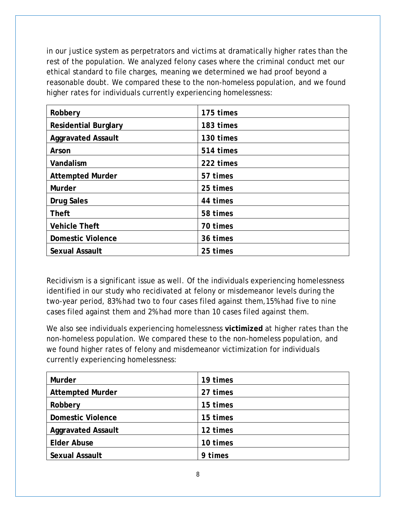in our justice system as perpetrators and victims at dramatically higher rates than the rest of the population. We analyzed felony cases where the criminal conduct met our ethical standard to file charges, meaning we determined we had proof beyond a reasonable doubt. We compared these to the non-homeless population, and we found higher rates for individuals currently experiencing homelessness:

| Robbery                 | 175 times |
|-------------------------|-----------|
| Residential Burglary    | 183 times |
| Aggravated Assault      | 130 times |
| Arson                   | 514 times |
| Vandalism               | 222 times |
| <b>Attempted Murder</b> | 57 times  |
| Murder                  | 25 times  |
| Drug Sales              | 44 times  |
| Theft                   | 58 times  |
| Vehicle Theft           | 70 times  |
| Domestic Violence       | 36 times  |
| Sexual Assault          | 25 times  |

Recidivism is a significant issue as well. Of the individuals experiencing homelessness identified in our study who recidivated at felony or misdemeanor levels during the two-year period, 83% had two to four cases filed against them,15% had five to nine cases filed against them and 2% had more than 10 cases filed against them.

We also see individuals experiencing homelessness **victimized** at higher rates than the non-homeless population. We compared these to the non-homeless population, and we found higher rates of felony and misdemeanor victimization for individuals currently experiencing homelessness:

| Murder                  | 19 times |
|-------------------------|----------|
| <b>Attempted Murder</b> | 27 times |
| Robbery                 | 15 times |
| Domestic Violence       | 15 times |
| Aggravated Assault      | 12 times |
| Elder Abuse             | 10 times |
| Sexual Assault          | 9 times  |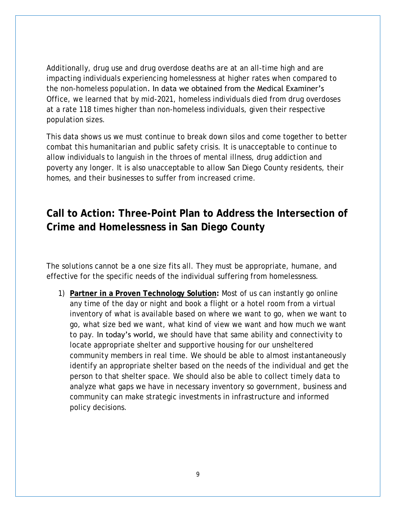Additionally, drug use and drug overdose deaths are at an all-time high and are impacting individuals experiencing homelessness at higher rates when compared to the non-homeless population. In data we obtained from the Medical Examiner's Office, we learned that by mid-2021, homeless individuals died from drug overdoses at a rate 118 times higher than non-homeless individuals, given their respective population sizes.

This data shows us we must continue to break down silos and come together to better combat this humanitarian and public safety crisis. It is unacceptable to continue to allow individuals to languish in the throes of mental illness, drug addiction and poverty any longer. It is also unacceptable to allow San Diego County residents, their homes, and their businesses to suffer from increased crime.

# **Call to Action: Three-Point Plan to Address the Intersection of Crime and Homelessness in San Diego County**

The solutions cannot be a one size fits all. They must be appropriate, humane, and effective for the specific needs of the individual suffering from homelessness.

1) **Partner in a Proven Technology Solution:** Most of us can instantly go online any time of the day or night and book a flight or a hotel room from a virtual inventory of what is available based on where we want to go, when we want to go, what size bed we want, what kind of view we want and how much we want to pay. In today's world, we should have that same ability and connectivity to locate appropriate shelter and supportive housing for our unsheltered community members in real time. We should be able to almost instantaneously identify an appropriate shelter based on the needs of the individual and get the person to that shelter space. We should also be able to collect timely data to analyze what gaps we have in necessary inventory so government, business and community can make strategic investments in infrastructure and informed policy decisions.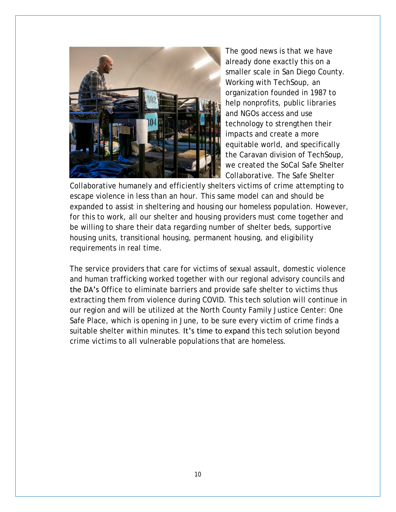

The good news is that we have already done exactly this on a smaller scale in San Diego County. Working with TechSoup, an organization founded in 1987 to help nonprofits, public libraries and NGOs access and use technology to strengthen their impacts and create a more equitable world, and specifically the Caravan division of TechSoup, we created the SoCal Safe Shelter Collaborative. The Safe Shelter

Collaborative humanely and efficiently shelters victims of crime attempting to escape violence in less than an hour. This same model can and should be expanded to assist in sheltering and housing our homeless population. However, for this to work, all our shelter and housing providers must come together and be willing to share their data regarding number of shelter beds, supportive housing units, transitional housing, permanent housing, and eligibility requirements in real time.

The service providers that care for victims of sexual assault, domestic violence and human trafficking worked together with our regional advisory councils and the DA's Office to eliminate barriers and provide safe shelter to victims thus extracting them from violence during COVID. This tech solution will continue in our region and will be utilized at the North County Family Justice Center: One Safe Place, which is opening in June, to be sure every victim of crime finds a suitable shelter within minutes. It's time to expand this tech solution beyond crime victims to all vulnerable populations that are homeless.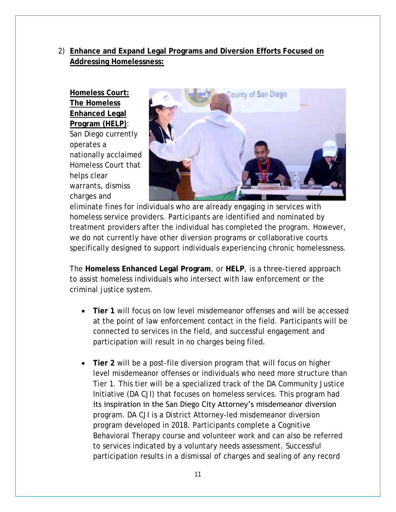#### 2) **Enhance and Expand Legal Programs and Diversion Efforts Focused on Addressing Homelessness:**

**Homeless Court: The Homeless Enhanced Legal Program (HELP)**: San Diego currently operates a nationally acclaimed Homeless Court that helps clear warrants, dismiss charges and



eliminate fines for individuals who are already engaging in services with homeless service providers. Participants are identified and nominated by treatment providers after the individual has completed the program. However, we do not currently have other diversion programs or collaborative courts specifically designed to support individuals experiencing chronic homelessness.

The **Homeless Enhanced Legal Program**, or **HELP**, is a three-tiered approach to assist homeless individuals who intersect with law enforcement or the criminal justice system.

- **Tier 1** will focus on low level misdemeanor offenses and will be accessed at the point of law enforcement contact in the field. Participants will be connected to services in the field, and successful engagement and participation will result in no charges being filed.
- **Tier 2** will be a post-file diversion program that will focus on higher level misdemeanor offenses or individuals who need more structure than Tier 1. This tier will be a specialized track of the DA Community Justice Initiative (DA CJI) that focuses on homeless services. This program had its inspiration in the San Diego City Attorney's misdemeanor diversion program. DA CJI is a District Attorney-led misdemeanor diversion program developed in 2018. Participants complete a Cognitive Behavioral Therapy course and volunteer work and can also be referred to services indicated by a voluntary needs assessment. Successful participation results in a dismissal of charges and sealing of any record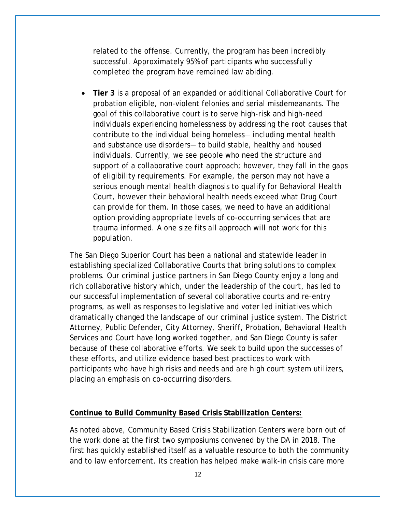related to the offense. Currently, the program has been incredibly successful. Approximately 95% of participants who successfully completed the program have remained law abiding.

• **Tier 3** is a proposal of an expanded or additional Collaborative Court for probation eligible, non-violent felonies and serial misdemeanants. The goal of this collaborative court is to serve high-risk and high-need individuals experiencing homelessness by addressing the root causes that contribute to the individual being homeless— including mental health and substance use disorders— to build stable, healthy and housed individuals. Currently, we see people who need the structure and support of a collaborative court approach; however, they fall in the gaps of eligibility requirements. For example, the person may not have a serious enough mental health diagnosis to qualify for Behavioral Health Court, however their behavioral health needs exceed what Drug Court can provide for them. In those cases, we need to have an additional option providing appropriate levels of co-occurring services that are trauma informed. A one size fits all approach will not work for this population.

The San Diego Superior Court has been a national and statewide leader in establishing specialized Collaborative Courts that bring solutions to complex problems. Our criminal justice partners in San Diego County enjoy a long and rich collaborative history which, under the leadership of the court, has led to our successful implementation of several collaborative courts and re-entry programs, as well as responses to legislative and voter led initiatives which dramatically changed the landscape of our criminal justice system. The District Attorney, Public Defender, City Attorney, Sheriff, Probation, Behavioral Health Services and Court have long worked together, and San Diego County is safer because of these collaborative efforts. We seek to build upon the successes of these efforts, and utilize evidence based best practices to work with participants who have high risks and needs and are high court system utilizers, placing an emphasis on co-occurring disorders.

#### **Continue to Build Community Based Crisis Stabilization Centers:**

As noted above, Community Based Crisis Stabilization Centers were born out of the work done at the first two symposiums convened by the DA in 2018. The first has quickly established itself as a valuable resource to both the community and to law enforcement. Its creation has helped make walk-in crisis care more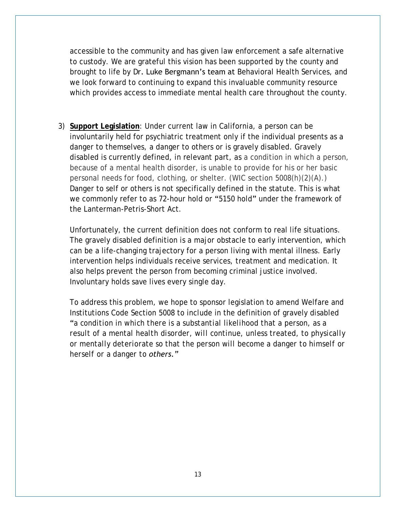accessible to the community and has given law enforcement a safe alternative to custody. We are grateful this vision has been supported by the county and brought to life by Dr. Luke Bergmann's team at Behavioral Health Services, and we look forward to continuing to expand this invaluable community resource which provides access to immediate mental health care throughout the county.

3) **Support Legislation**: Under current law in California, a person can be involuntarily held for psychiatric treatment only if the individual presents as a danger to themselves, a danger to others or is gravely disabled. Gravely disabled is currently defined, in relevant part, as a condition in which a person, because of a mental health disorder, is unable to provide for his or her basic personal needs for food, clothing, or shelter. (WIC section 5008(h)(2)(A).) Danger to self or others is not specifically defined in the statute. This is what we commonly refer to as 72-hour hold or "5150 hold" under the framework of the Lanterman-Petris-Short Act.

Unfortunately, the current definition does not conform to real life situations. The gravely disabled definition is a major obstacle to early intervention, which can be a life-changing trajectory for a person living with mental illness. Early intervention helps individuals receive services, treatment and medication. It also helps prevent the person from becoming criminal justice involved. Involuntary holds save lives every single day.

To address this problem, we hope to sponsor legislation to amend Welfare and Institutions Code Section 5008 to include in the definition of gravely disabled "*a condition in which there is a substantial likelihood that a person, as a result of a mental health disorder, will continue, unless treated, to physically or mentally deteriorate so that the person will become a danger to himself or herself or a danger to others."*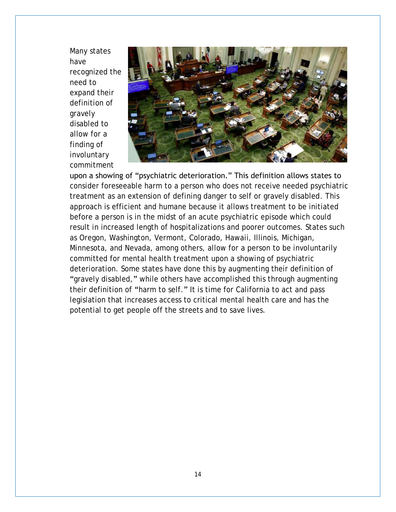Many states have recognized the need to expand their definition of gravely disabled to allow for a finding of involuntary commitment



upon a showing of "psychiatric deterioration." This definition allows states to consider foreseeable harm to a person who does not receive needed psychiatric treatment as an extension of defining danger to self or gravely disabled. This approach is efficient and humane because it allows treatment to be initiated before a person is in the midst of an acute psychiatric episode which could result in increased length of hospitalizations and poorer outcomes. States such as Oregon, Washington, Vermont, Colorado, Hawaii, Illinois, Michigan, Minnesota, and Nevada, among others, allow for a person to be involuntarily committed for mental health treatment upon a showing of psychiatric deterioration. Some states have done this by augmenting their definition of "gravely disabled," while others have accomplished this through augmenting their definition of "harm to self." It is time for California to act and pass legislation that increases access to critical mental health care and has the potential to get people off the streets and to save lives.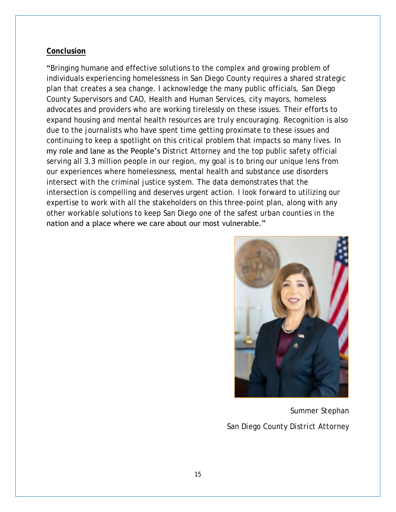#### **Conclusion**

"Bringing humane and effective solutions to the complex and growing problem of individuals experiencing homelessness in San Diego County requires a shared strategic plan that creates a sea change. I acknowledge the many public officials, San Diego County Supervisors and CAO, Health and Human Services, city mayors, homeless advocates and providers who are working tirelessly on these issues. Their efforts to expand housing and mental health resources are truly encouraging. Recognition is also due to the journalists who have spent time getting proximate to these issues and continuing to keep a spotlight on this critical problem that impacts so many lives. In my role and lane as the People's District Attorney and the top public safety official serving all 3.3 million people in our region, my goal is to bring our unique lens from our experiences where homelessness, mental health and substance use disorders intersect with the criminal justice system. The data demonstrates that the intersection is compelling and deserves urgent action. I look forward to utilizing our expertise to work with all the stakeholders on this three-point plan, along with any other workable solutions to keep San Diego one of the safest urban counties in the nation and a place where we care about our most vulnerable."



*Summer Stephan San Diego County District Attorney*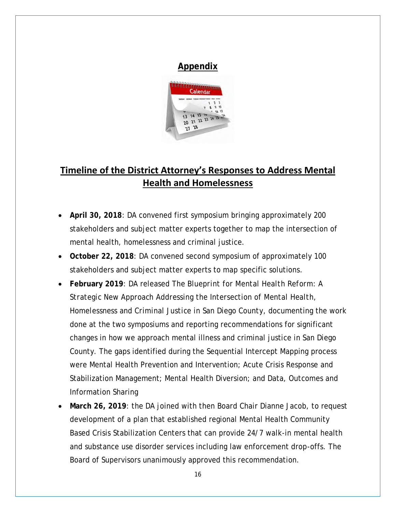

## **Timeline of the District Attorney's Responses to Address Mental Health and Homelessness**

- **April 30, 2018**: DA convened first symposium bringing approximately 200 stakeholders and subject matter experts together to map the intersection of mental health, homelessness and criminal justice.
- **October 22, 2018**: DA convened second symposium of approximately 100 stakeholders and subject matter experts to map specific solutions.
- **February 2019**: DA released *The Blueprint for Mental Health Reform: A Strategic New Approach Addressing the Intersection of Mental Health, Homelessness and Criminal Justice in San Diego County*, documenting the work done at the two symposiums and reporting recommendations for significant changes in how we approach mental illness and criminal justice in San Diego County. The gaps identified during the Sequential Intercept Mapping process were Mental Health Prevention and Intervention; Acute Crisis Response and Stabilization Management; Mental Health Diversion; and Data, Outcomes and Information Sharing
- **March 26, 2019**: the DA joined with then Board Chair Dianne Jacob, to request development of a plan that established regional Mental Health Community Based Crisis Stabilization Centers that can provide 24/7 walk-in mental health and substance use disorder services including law enforcement drop-offs. The Board of Supervisors unanimously approved this recommendation.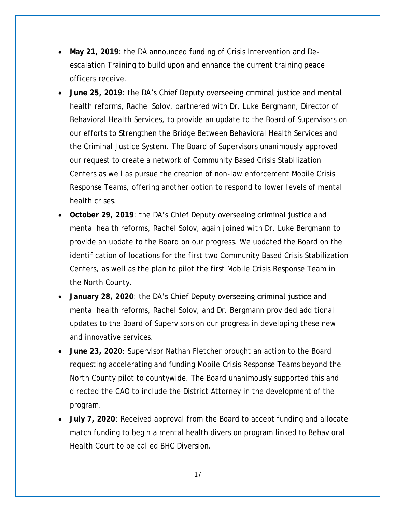- **May 21, 2019**: the DA announced funding of Crisis Intervention and Deescalation Training to build upon and enhance the current training peace officers receive.
- **June 25, 2019**: the DA's Chief Deputy overseeing criminal justice and mental health reforms, Rachel Solov, partnered with Dr. Luke Bergmann, Director of Behavioral Health Services, to provide an update to the Board of Supervisors on our efforts to Strengthen the Bridge Between Behavioral Health Services and the Criminal Justice System. The Board of Supervisors unanimously approved our request to create a network of Community Based Crisis Stabilization Centers as well as pursue the creation of non-law enforcement Mobile Crisis Response Teams, offering another option to respond to lower levels of mental health crises.
- **October 29, 2019**: the DA's Chief Deputy overseeing criminal justice and mental health reforms, Rachel Solov, again joined with Dr. Luke Bergmann to provide an update to the Board on our progress. We updated the Board on the identification of locations for the first two Community Based Crisis Stabilization Centers, as well as the plan to pilot the first Mobile Crisis Response Team in the North County.
- **January 28, 2020**: the DA's Chief Deputy overseeing criminal justice and mental health reforms, Rachel Solov, and Dr. Bergmann provided additional updates to the Board of Supervisors on our progress in developing these new and innovative services.
- **June 23, 2020**: Supervisor Nathan Fletcher brought an action to the Board requesting accelerating and funding Mobile Crisis Response Teams beyond the North County pilot to countywide. The Board unanimously supported this and directed the CAO to include the District Attorney in the development of the program.
- **July 7, 2020**: Received approval from the Board to accept funding and allocate match funding to begin a mental health diversion program linked to Behavioral Health Court to be called BHC Diversion.